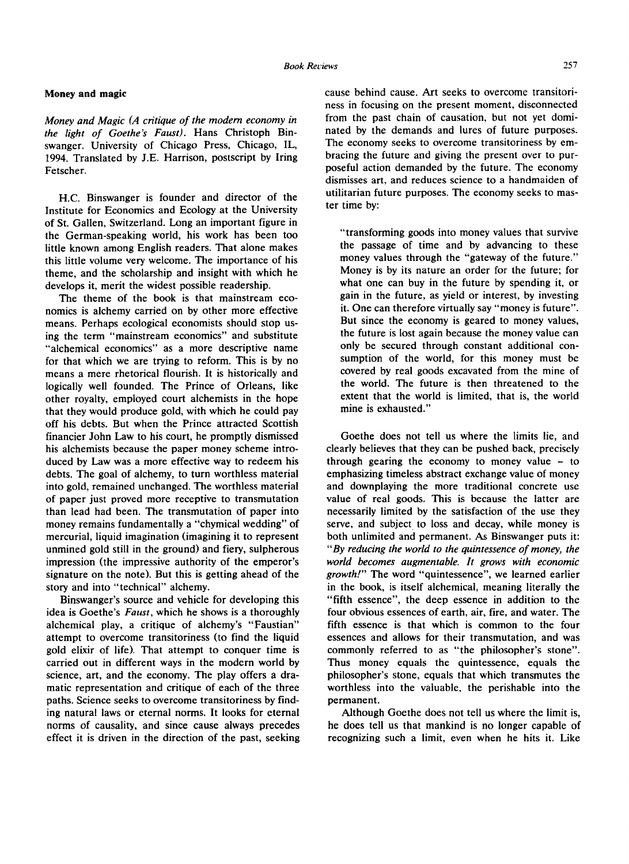## **Money and magic**

*Money and Magic (A critique of the modem economy in the light of Goethe's Faust).* Hans Christoph Binswanger. University of Chicago Press, Chicago, IL, 1994. Translated by J.E. Harrison, postscript by Iring Fetscher.

H.C. Binswanger is founder and director of the Institute for Economics and Ecology at the University of St. Gallen, Switzerland. Long an important figure in the German-speaking world, his work has been too little known among English readers. That alone makes this little volume very welcome. The importance of his theme, and the scholarship and insight with which he develops it, merit the widest possible readership.

The theme of the book is that mainstream economics is alchemy carried on by other more effective means. Perhaps ecological economists should stop using the term "mainstream economics" and substitute "alchemical economics" as a more descriptive name for that which we are trying to reform. This is by no means a mere rhetorical flourish. It is historically and logically well founded. The Prince of Orleans, like other royalty, employed court alchemists in the hope that they would produce gold, with which he could pay off his debts. But when the Prince attracted Scottish financier John Law to his court, he promptly dismissed his alchemists because the paper money scheme introduced by Law was a more effective way to redeem his debts. The goal of alchemy, to turn worthless material into gold, remained unchanged. The worthless material of paper just proved more receptive to transmutation than lead had been. The transmutation of paper into money remains fundamentally a "chymical wedding" of mercurial, liquid imagination (imagining it to represent unmined gold still in the ground) and fiery, sulpherous impression (the impressive authority of the emperor's signature on the note). But this is getting ahead of the story and into "technical" alchemy.

Binswanger's source and vehicle for developing this idea is Goethe's *Faust,* which he shows is a thoroughly alchemical play, a critique of alchemy's "Faustian" attempt to overcome transitoriness (to find the liquid gold elixir of life). That attempt to conquer time is carried out in different ways in the modern world by science, art, and the economy. The play offers a dramatic representation and critique of each of the three paths. Science seeks to overcome transitoriness by finding natural laws or eternal norms. It looks for eternal norms of causality, and since cause always precedes effect it is driven in the direction of the past, seeking cause behind cause. Art seeks to overcome transitoriness in focusing on the present moment, disconnected from the past chain of causation, but not yet dominated by the demands and lures of future purposes. The economy seeks to overcome transitoriness by embracing the future and giving the present over to purposeful action demanded by the future. The economy dismisses art, and reduces science to a handmaiden of utilitarian future purposes. The economy seeks to master time by:

"transforming goods into money values that survive the passage of time and by advancing to these money values through the "gateway of the future." Money is by its nature an order for the future; for what one can buy in the future by spending it, or gain in the future, as yield or interest, by investing it. One can therefore virtually say "money is future". But since the economy is geared to money values, the future is lost again because the money value can only be secured through constant additional consumption of the world, for this money must be covered by real goods excavated from the mine of the world. The future is then threatened to the extent that the world is limited, that is, the world mine is exhausted."

Goethe does not tell us where the limits lie, and clearly believes that they can be pushed back, precisely through gearing the economy to money value  $-$  to emphasizing timeless abstract exchange value of money and downplaying the more traditional concrete use value of real goods. This is because the latter are necessarily limited by the satisfaction of the use they serve, and subject to loss and decay, while money is both unlimited and permanent. As Binswanger puts it: "By *reducing the world to the quintessence of money, the world becomes augmentable. It grows with economic growth/" The* word "quintessence", we learned earlier in the book, is itself alchemical, meaning literally the "fifth essence", the deep essence in addition to the four obvious essences of earth, air, fire, and water. The fifth essence is that which is common to the four essences and allows for their transmutation, and was commonly referred to as "the philosopher's stone". Thus money equals the quintessence, equals the philosopher's stone, equals that which transmutes the worthless into the valuable, the perishable into the permanent.

Although Goethe does not tell us where the limit is, he does tell us that mankind is no longer capable of recognizing such a limit, even when he hits it. Like